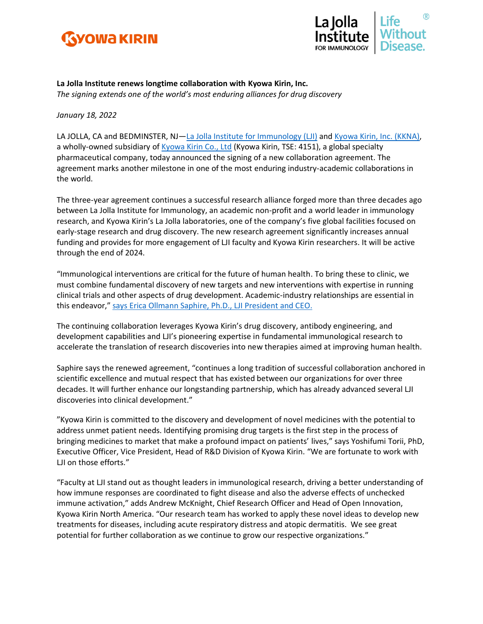



**La Jolla Institute renews longtime collaboration with Kyowa Kirin, Inc.** *The signing extends one of the world's most enduring alliances for drug discovery*

*January 18, 2022*

LA JOLLA, CA and BEDMINSTER, NJ—[La Jolla Institute for Immunology](https://www.lji.org/) (LJI) and [Kyowa Kirin, Inc. \(KKNA\),](https://kkna.kyowakirin.com/) a wholly-owned subsidiary of [Kyowa Kirin Co., Ltd](https://www.kyowakirin.com/index.html) (Kyowa Kirin, TSE: 4151), a global specialty pharmaceutical company, today announced the signing of a new collaboration agreement. The agreement marks another milestone in one of the most enduring industry-academic collaborations in the world.

The three-year agreement continues a successful research alliance forged more than three decades ago between La Jolla Institute for Immunology, an academic non-profit and a world leader in immunology research, and Kyowa Kirin's La Jolla laboratories, one of the company's five global facilities focused on early-stage research and drug discovery. The new research agreement significantly increases annual funding and provides for more engagement of LJI faculty and Kyowa Kirin researchers. It will be active through the end of 2024.

"Immunological interventions are critical for the future of human health. To bring these to clinic, we must combine fundamental discovery of new targets and new interventions with expertise in running clinical trials and other aspects of drug development. Academic-industry relationships are essential in this endeavor," [says Erica Ollmann Saphire, Ph.D., LJI President and CEO.](https://www.lji.org/labs/saphire/)

The continuing collaboration leverages Kyowa Kirin's drug discovery, antibody engineering, and development capabilities and LJI's pioneering expertise in fundamental immunological research to accelerate the translation of research discoveries into new therapies aimed at improving human health.

Saphire says the renewed agreement, "continues a long tradition of successful collaboration anchored in scientific excellence and mutual respect that has existed between our organizations for over three decades. It will further enhance our longstanding partnership, which has already advanced several LJI discoveries into clinical development."

"Kyowa Kirin is committed to the discovery and development of novel medicines with the potential to address unmet patient needs. Identifying promising drug targets is the first step in the process of bringing medicines to market that make a profound impact on patients' lives," says Yoshifumi Torii, PhD, Executive Officer, Vice President, Head of R&D Division of Kyowa Kirin. "We are fortunate to work with LJI on those efforts."

"Faculty at LJI stand out as thought leaders in immunological research, driving a better understanding of how immune responses are coordinated to fight disease and also the adverse effects of unchecked immune activation," adds Andrew McKnight, Chief Research Officer and Head of Open Innovation, Kyowa Kirin North America. "Our research team has worked to apply these novel ideas to develop new treatments for diseases, including acute respiratory distress and atopic dermatitis. We see great potential for further collaboration as we continue to grow our respective organizations."